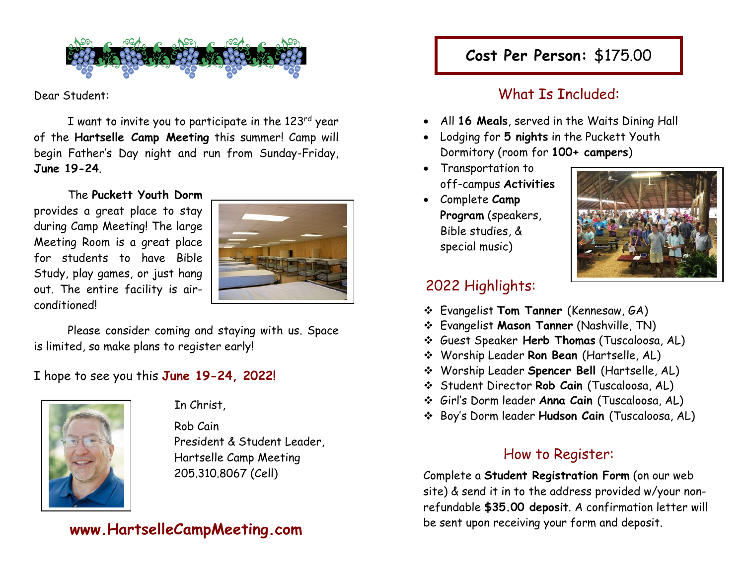

Dear Student:

I want to invite you to participate in the 123 rd year of the **Hartselle Camp Meeting** this summer! Camp will begin Father's Day night and run from Sunday-Friday, **June 19-24**.

The **Puckett Youth Dorm** provides a great place to stay during Camp Meeting! The large Meeting Room is a great place for students to have Bible Study, play games, or just hang out. The entire facility is airconditioned!



Please consider coming and staying with us. Space is limited, so make plans to register early!

#### I hope to see you this **June 19-24, 2022!**



#### In Christ,

 Rob Cain President & Student Leader, Hartselle Camp Meeting 205.310.8067 (Cell)

#### **www.HartselleCampMeeting.com**

# **Cost Per Person:** \$175.00

### What Is Included:

- All **16 Meals**, served in the Waits Dining Hall
- Lodging for **5 nights** in the Puckett Youth Dormitory (room for **100+ campers**)
- Transportation to off-campus **Activities**
- Complete **Camp Program** (speakers, Bible studies, & special music)



#### 2022 Highlights:

- ❖ Evangelist **Tom Tanner** (Kennesaw, GA)
- ❖ Evangelist **Mason Tanner** (Nashville, TN)
- ❖ Guest Speaker **Herb Thomas** (Tuscaloosa, AL)
- ❖ Worship Leader **Ron Bean** (Hartselle, AL)
- ❖ Worship Leader **Spencer Bell** (Hartselle, AL)
- ❖ Student Director **Rob Cain** (Tuscaloosa, AL)
- ❖ Girl's Dorm leader **Anna Cain** (Tuscaloosa, AL)
- ❖ Boy's Dorm leader **Hudson Cain** (Tuscaloosa, AL)

#### How to Register:

Complete a **Student Registration Form** (on our web site) & send it in to the address provided w/your nonrefundable **\$35.00 deposit**. A confirmation letter will be sent upon receiving your form and deposit.